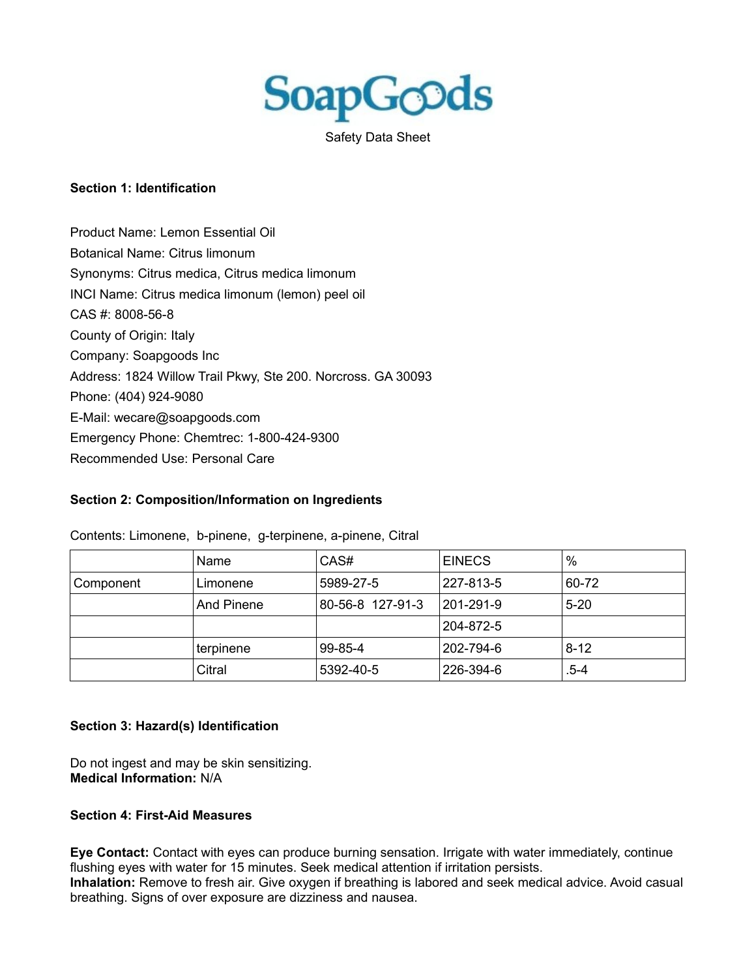

Safety Data Sheet

#### **Section 1: Identification**

Product Name: Lemon Essential Oil Botanical Name: Citrus limonum Synonyms: Citrus medica, Citrus medica limonum INCI Name: Citrus medica limonum (lemon) peel oil CAS #: 8008-56-8 County of Origin: Italy Company: Soapgoods Inc Address: 1824 Willow Trail Pkwy, Ste 200. Norcross. GA 30093 Phone: (404) 924-9080 E-Mail: wecare@soapgoods.com Emergency Phone: Chemtrec: 1-800-424-9300 Recommended Use: Personal Care

### **Section 2: Composition/Information on Ingredients**

|           | Name       | CAS#             | <b>EINECS</b> | $\%$     |
|-----------|------------|------------------|---------------|----------|
| Component | Limonene   | 5989-27-5        | 227-813-5     | 60-72    |
|           | And Pinene | 80-56-8 127-91-3 | 201-291-9     | $5 - 20$ |
|           |            |                  | 204-872-5     |          |
|           | terpinene  | 99-85-4          | 202-794-6     | $8 - 12$ |
|           | Citral     | 5392-40-5        | 226-394-6     | .5-4     |

Contents: Limonene, b-pinene, g-terpinene, a-pinene, Citral

### **Section 3: Hazard(s) Identification**

Do not ingest and may be skin sensitizing. **Medical Information:** N/A

### **Section 4: First-Aid Measures**

**Eye Contact:** Contact with eyes can produce burning sensation. Irrigate with water immediately, continue flushing eyes with water for 15 minutes. Seek medical attention if irritation persists. **Inhalation:** Remove to fresh air. Give oxygen if breathing is labored and seek medical advice. Avoid casual breathing. Signs of over exposure are dizziness and nausea.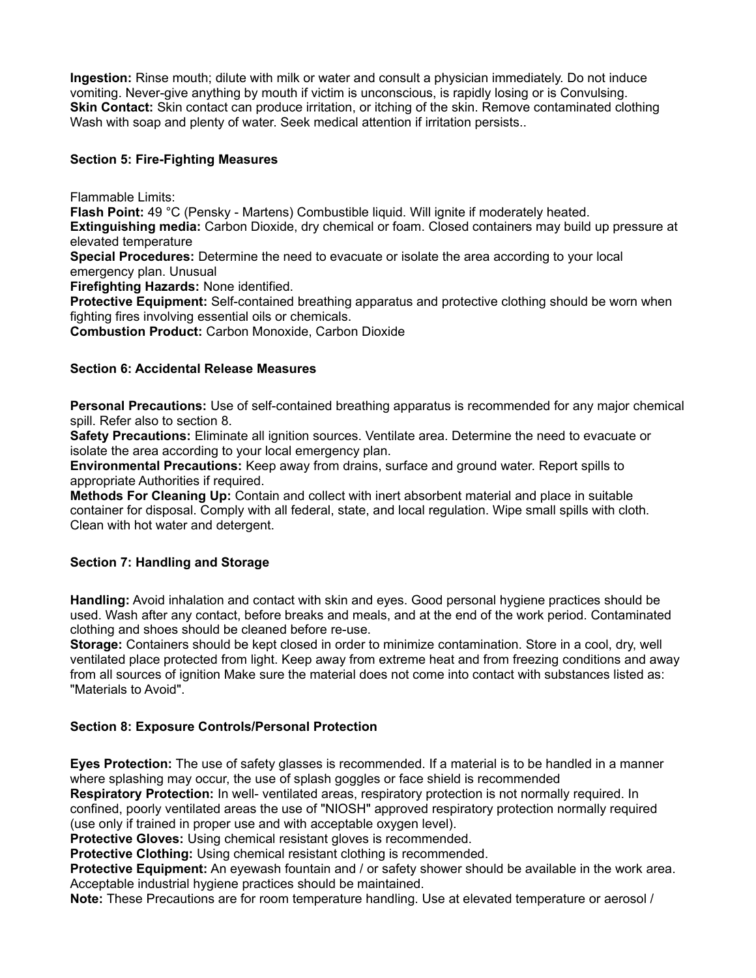**Ingestion:** Rinse mouth; dilute with milk or water and consult a physician immediately. Do not induce vomiting. Never-give anything by mouth if victim is unconscious, is rapidly losing or is Convulsing. **Skin Contact:** Skin contact can produce irritation, or itching of the skin. Remove contaminated clothing Wash with soap and plenty of water. Seek medical attention if irritation persists..

## **Section 5: Fire-Fighting Measures**

Flammable Limits:

**Flash Point:** 49 °C (Pensky - Martens) Combustible liquid. Will ignite if moderately heated. **Extinguishing media:** Carbon Dioxide, dry chemical or foam. Closed containers may build up pressure at elevated temperature

**Special Procedures:** Determine the need to evacuate or isolate the area according to your local emergency plan. Unusual

**Firefighting Hazards:** None identified.

**Protective Equipment:** Self-contained breathing apparatus and protective clothing should be worn when fighting fires involving essential oils or chemicals.

**Combustion Product:** Carbon Monoxide, Carbon Dioxide

### **Section 6: Accidental Release Measures**

**Personal Precautions:** Use of self-contained breathing apparatus is recommended for any major chemical spill. Refer also to section 8.

**Safety Precautions:** Eliminate all ignition sources. Ventilate area. Determine the need to evacuate or isolate the area according to your local emergency plan.

**Environmental Precautions:** Keep away from drains, surface and ground water. Report spills to appropriate Authorities if required.

**Methods For Cleaning Up:** Contain and collect with inert absorbent material and place in suitable container for disposal. Comply with all federal, state, and local regulation. Wipe small spills with cloth. Clean with hot water and detergent.

### **Section 7: Handling and Storage**

**Handling:** Avoid inhalation and contact with skin and eyes. Good personal hygiene practices should be used. Wash after any contact, before breaks and meals, and at the end of the work period. Contaminated clothing and shoes should be cleaned before re-use.

**Storage:** Containers should be kept closed in order to minimize contamination. Store in a cool, dry, well ventilated place protected from light. Keep away from extreme heat and from freezing conditions and away from all sources of ignition Make sure the material does not come into contact with substances listed as: "Materials to Avoid".

### **Section 8: Exposure Controls/Personal Protection**

**Eyes Protection:** The use of safety glasses is recommended. If a material is to be handled in a manner where splashing may occur, the use of splash goggles or face shield is recommended

**Respiratory Protection:** In well- ventilated areas, respiratory protection is not normally required. In confined, poorly ventilated areas the use of "NIOSH" approved respiratory protection normally required (use only if trained in proper use and with acceptable oxygen level).

**Protective Gloves:** Using chemical resistant gloves is recommended.

**Protective Clothing:** Using chemical resistant clothing is recommended.

**Protective Equipment:** An eyewash fountain and / or safety shower should be available in the work area. Acceptable industrial hygiene practices should be maintained.

**Note:** These Precautions are for room temperature handling. Use at elevated temperature or aerosol /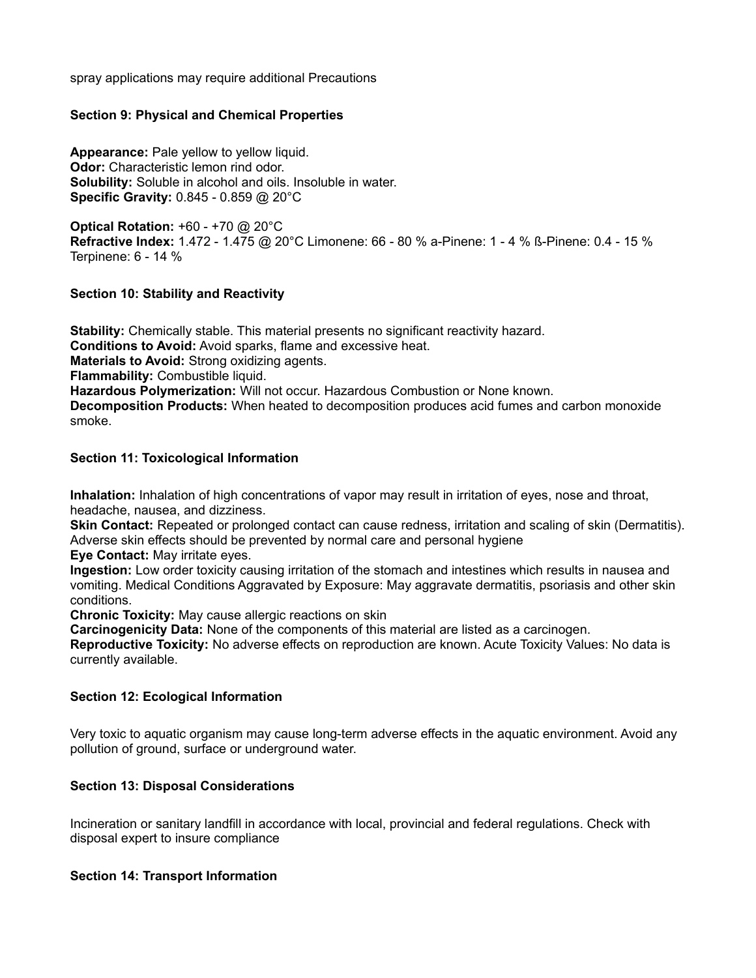spray applications may require additional Precautions

### **Section 9: Physical and Chemical Properties**

**Appearance:** Pale yellow to yellow liquid. **Odor:** Characteristic lemon rind odor. **Solubility:** Soluble in alcohol and oils. Insoluble in water. **Specific Gravity:** 0.845 - 0.859 @ 20°C

**Optical Rotation:** +60 - +70 @ 20°C **Refractive Index:** 1.472 - 1.475 @ 20°C Limonene: 66 - 80 % a-Pinene: 1 - 4 % ß-Pinene: 0.4 - 15 % Terpinene: 6 - 14 %

### **Section 10: Stability and Reactivity**

**Stability:** Chemically stable. This material presents no significant reactivity hazard. **Conditions to Avoid:** Avoid sparks, flame and excessive heat. **Materials to Avoid:** Strong oxidizing agents. **Flammability:** Combustible liquid. **Hazardous Polymerization:** Will not occur. Hazardous Combustion or None known. **Decomposition Products:** When heated to decomposition produces acid fumes and carbon monoxide smoke.

### **Section 11: Toxicological Information**

**Inhalation:** Inhalation of high concentrations of vapor may result in irritation of eyes, nose and throat, headache, nausea, and dizziness.

**Skin Contact:** Repeated or prolonged contact can cause redness, irritation and scaling of skin (Dermatitis). Adverse skin effects should be prevented by normal care and personal hygiene

**Eye Contact:** May irritate eyes.

**Ingestion:** Low order toxicity causing irritation of the stomach and intestines which results in nausea and vomiting. Medical Conditions Aggravated by Exposure: May aggravate dermatitis, psoriasis and other skin conditions.

**Chronic Toxicity:** May cause allergic reactions on skin

**Carcinogenicity Data:** None of the components of this material are listed as a carcinogen. **Reproductive Toxicity:** No adverse effects on reproduction are known. Acute Toxicity Values: No data is currently available.

# **Section 12: Ecological Information**

Very toxic to aquatic organism may cause long-term adverse effects in the aquatic environment. Avoid any pollution of ground, surface or underground water.

### **Section 13: Disposal Considerations**

Incineration or sanitary landfill in accordance with local, provincial and federal regulations. Check with disposal expert to insure compliance

### **Section 14: Transport Information**